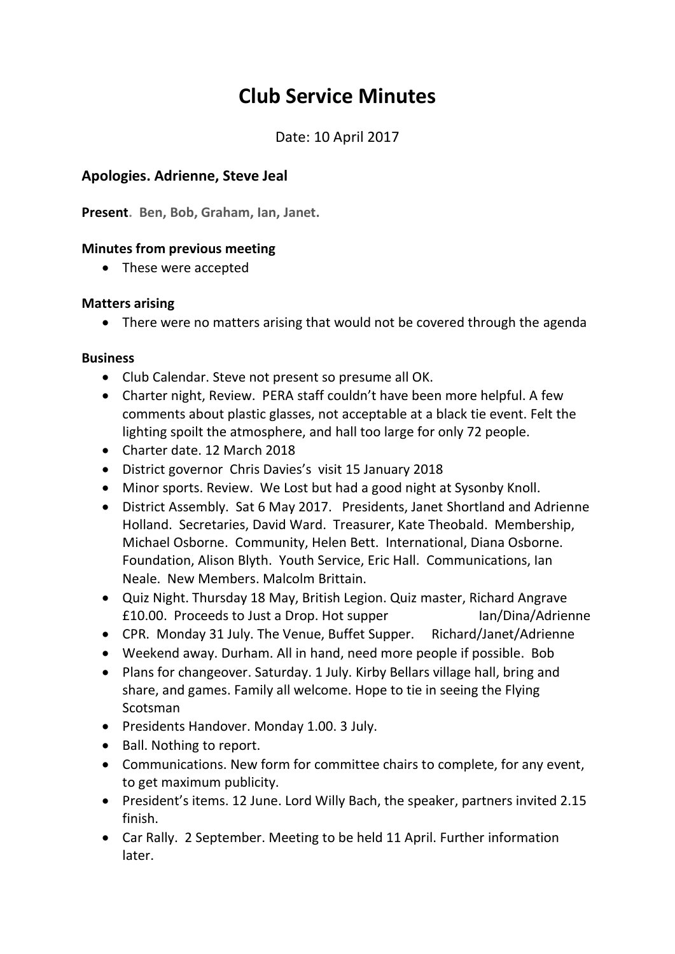# **Club Service Minutes**

Date: 10 April 2017

### **Apologies. Adrienne, Steve Jeal**

**Present. Ben, Bob, Graham, Ian, Janet.**

#### **Minutes from previous meeting**

• These were accepted

#### **Matters arising**

• There were no matters arising that would not be covered through the agenda

#### **Business**

- Club Calendar. Steve not present so presume all OK.
- Charter night, Review. PERA staff couldn't have been more helpful. A few comments about plastic glasses, not acceptable at a black tie event. Felt the lighting spoilt the atmosphere, and hall too large for only 72 people.
- Charter date. 12 March 2018
- District governor Chris Davies's visit 15 January 2018
- Minor sports. Review. We Lost but had a good night at Sysonby Knoll.
- District Assembly. Sat 6 May 2017. Presidents, Janet Shortland and Adrienne Holland. Secretaries, David Ward. Treasurer, Kate Theobald. Membership, Michael Osborne. Community, Helen Bett. International, Diana Osborne. Foundation, Alison Blyth. Youth Service, Eric Hall. Communications, Ian Neale. New Members. Malcolm Brittain.
- Quiz Night. Thursday 18 May, British Legion. Quiz master, Richard Angrave £10.00. Proceeds to Just a Drop. Hot supper Ian/Dina/Adrienne
- CPR. Monday 31 July. The Venue, Buffet Supper. Richard/Janet/Adrienne
- Weekend away. Durham. All in hand, need more people if possible. Bob
- Plans for changeover. Saturday. 1 July. Kirby Bellars village hall, bring and share, and games. Family all welcome. Hope to tie in seeing the Flying Scotsman
- Presidents Handover. Monday 1.00. 3 July.
- Ball. Nothing to report.
- Communications. New form for committee chairs to complete, for any event, to get maximum publicity.
- President's items. 12 June. Lord Willy Bach, the speaker, partners invited 2.15 finish.
- Car Rally. 2 September. Meeting to be held 11 April. Further information later.